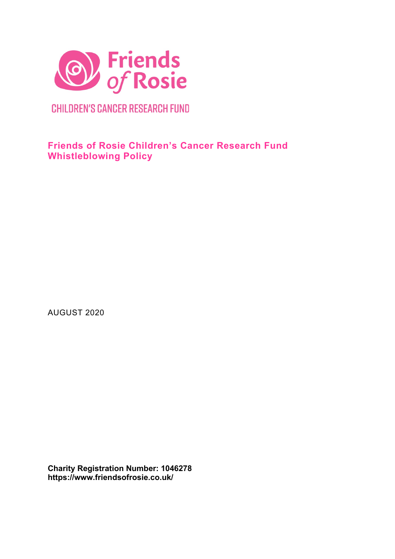

**CHILDREN'S CANCER RESEARCH FUND** 

**Friends of Rosie Children's Cancer Research Fund Whistleblowing Policy**

AUGUST 2020

**Charity Registration Number: 1046278 https://www.friendsofrosie.co.uk/**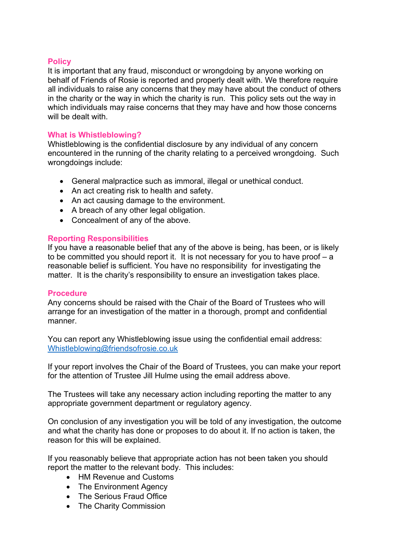## **Policy**

It is important that any fraud, misconduct or wrongdoing by anyone working on behalf of Friends of Rosie is reported and properly dealt with. We therefore require all individuals to raise any concerns that they may have about the conduct of others in the charity or the way in which the charity is run. This policy sets out the way in which individuals may raise concerns that they may have and how those concerns will be dealt with.

## **What is Whistleblowing?**

Whistleblowing is the confidential disclosure by any individual of any concern encountered in the running of the charity relating to a perceived wrongdoing. Such wrongdoings include:

- General malpractice such as immoral, illegal or unethical conduct.
- An act creating risk to health and safety.
- An act causing damage to the environment.
- A breach of any other legal obligation.
- Concealment of any of the above.

## **Reporting Responsibilities**

If you have a reasonable belief that any of the above is being, has been, or is likely to be committed you should report it. It is not necessary for you to have proof – a reasonable belief is sufficient. You have no responsibility for investigating the matter. It is the charity's responsibility to ensure an investigation takes place.

#### **Procedure**

Any concerns should be raised with the Chair of the Board of Trustees who will arrange for an investigation of the matter in a thorough, prompt and confidential manner.

You can report any Whistleblowing issue using the confidential email address: [Whistleblowing@friendsofrosie.co.uk](mailto:Whistleblowing@friendsofrosie.co.uk)

If your report involves the Chair of the Board of Trustees, you can make your report for the attention of Trustee Jill Hulme using the email address above.

The Trustees will take any necessary action including reporting the matter to any appropriate government department or regulatory agency.

On conclusion of any investigation you will be told of any investigation, the outcome and what the charity has done or proposes to do about it. If no action is taken, the reason for this will be explained.

If you reasonably believe that appropriate action has not been taken you should report the matter to the relevant body. This includes:

- HM Revenue and Customs
- The Environment Agency
- The Serious Fraud Office
- The Charity Commission